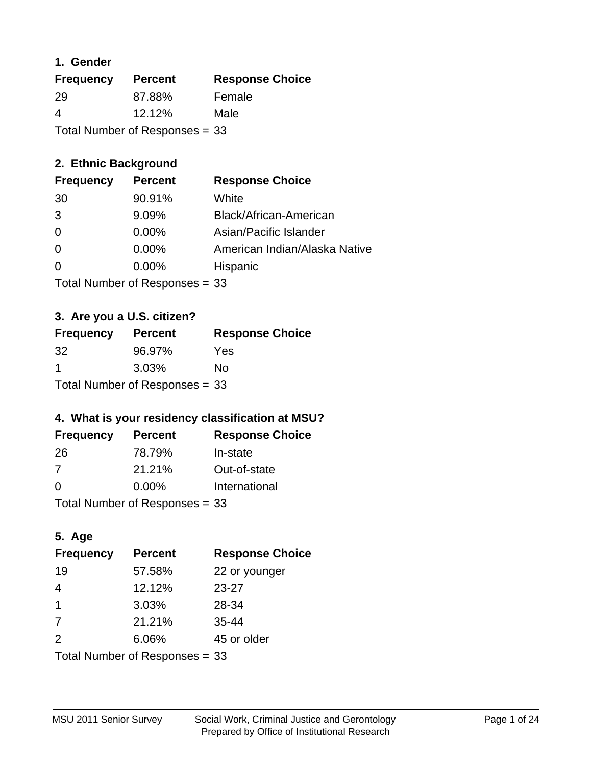#### **1. Gender**

| <b>Frequency</b>               | <b>Percent</b> | <b>Response Choice</b> |
|--------------------------------|----------------|------------------------|
| -29                            | 87.88%         | Female                 |
| 4                              | $12.12\%$      | Male                   |
| Total Number of Responses = 33 |                |                        |

#### **2. Ethnic Background**

| <b>Frequency</b> | <b>Percent</b> | <b>Response Choice</b>        |
|------------------|----------------|-------------------------------|
| 30               | 90.91%         | White                         |
| 3                | 9.09%          | Black/African-American        |
| 0                | 0.00%          | Asian/Pacific Islander        |
| 0                | 0.00%          | American Indian/Alaska Native |
| $\Omega$         | 0.00%          | Hispanic                      |
|                  |                |                               |

Total Number of Responses = 33

#### **3. Are you a U.S. citizen?**

| <b>Frequency</b>               | <b>Percent</b> | <b>Response Choice</b> |
|--------------------------------|----------------|------------------------|
| 32 <sup>-</sup>                | 96.97%         | Yes                    |
| -1                             | 3.03%          | Nο                     |
| Total Number of Responses = 33 |                |                        |

#### **4. What is your residency classification at MSU?**

| <b>Frequency</b> | <b>Percent</b> | <b>Response Choice</b> |
|------------------|----------------|------------------------|
| -26              | 78.79%         | In-state               |
| -7               | 21.21%         | Out-of-state           |
| $\Omega$         | $0.00\%$       | International          |
|                  |                |                        |

Total Number of Responses = 33

# **5. Age**

| <b>Frequency</b>               | <b>Percent</b> | <b>Response Choice</b> |
|--------------------------------|----------------|------------------------|
| 19                             | 57.58%         | 22 or younger          |
| $\overline{4}$                 | 12.12%         | $23 - 27$              |
| -1                             | 3.03%          | 28-34                  |
| 7                              | 21.21%         | $35 - 44$              |
| 2                              | 6.06%          | 45 or older            |
| Total Number of Responses = 33 |                |                        |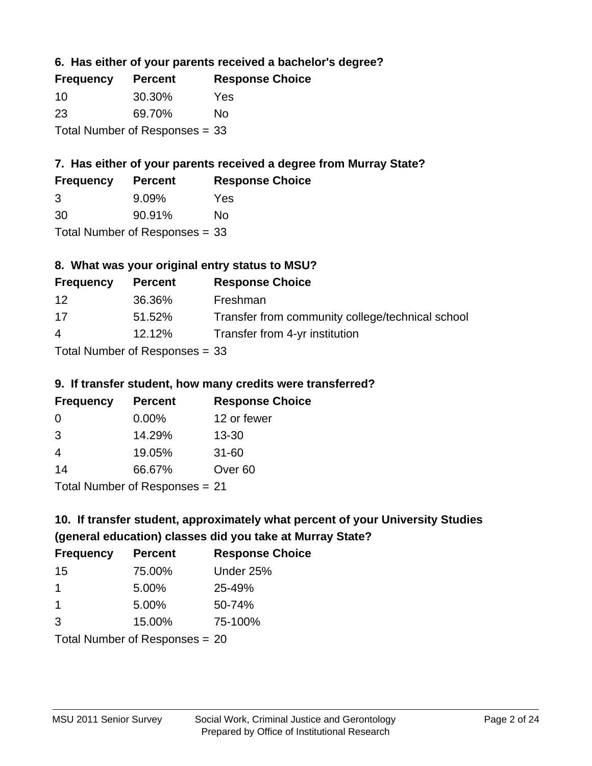#### **6. Has either of your parents received a bachelor's degree?**

| <b>Frequency</b> | <b>Percent</b>                   | <b>Response Choice</b> |
|------------------|----------------------------------|------------------------|
| -10              | 30.30%                           | Yes                    |
| -23              | 69.70%                           | No                     |
|                  | Total Number of Responses $= 33$ |                        |

#### **7. Has either of your parents received a degree from Murray State?**

| <b>Frequency</b> | <b>Percent</b> | <b>Response Choice</b> |
|------------------|----------------|------------------------|
| 3                | $9.09\%$       | Yes                    |
| 30               | 90.91%         | No                     |

Total Number of Responses = 33

#### **8. What was your original entry status to MSU?**

| <b>Frequency</b> | <b>Percent</b>             | <b>Response Choice</b>                           |
|------------------|----------------------------|--------------------------------------------------|
| 12               | 36.36%                     | Freshman                                         |
| 17               | 51.52%                     | Transfer from community college/technical school |
| $\overline{4}$   | 12.12%                     | Transfer from 4-yr institution                   |
|                  | Tatal Number of Desperance |                                                  |

Total Number of Responses = 33

#### **9. If transfer student, how many credits were transferred?**

| <b>Frequency</b>              | <b>Percent</b> | <b>Response Choice</b> |
|-------------------------------|----------------|------------------------|
| -0                            | $0.00\%$       | 12 or fewer            |
| 3                             | 14.29%         | $13 - 30$              |
| 4                             | 19.05%         | $31 - 60$              |
| 14                            | 66.67%         | Over <sub>60</sub>     |
| $Total Number of Doeponce 21$ |                |                        |

Total Number of Responses = 21

# **10. If transfer student, approximately what percent of your University Studies (general education) classes did you take at Murray State?**

| <b>Frequency</b>               | <b>Percent</b> | <b>Response Choice</b> |
|--------------------------------|----------------|------------------------|
| 15                             | 75.00%         | Under 25%              |
| 1                              | 5.00%          | 25-49%                 |
| -1                             | 5.00%          | 50-74%                 |
| 3                              | 15.00%         | 75-100%                |
| Total Number of Responses = 20 |                |                        |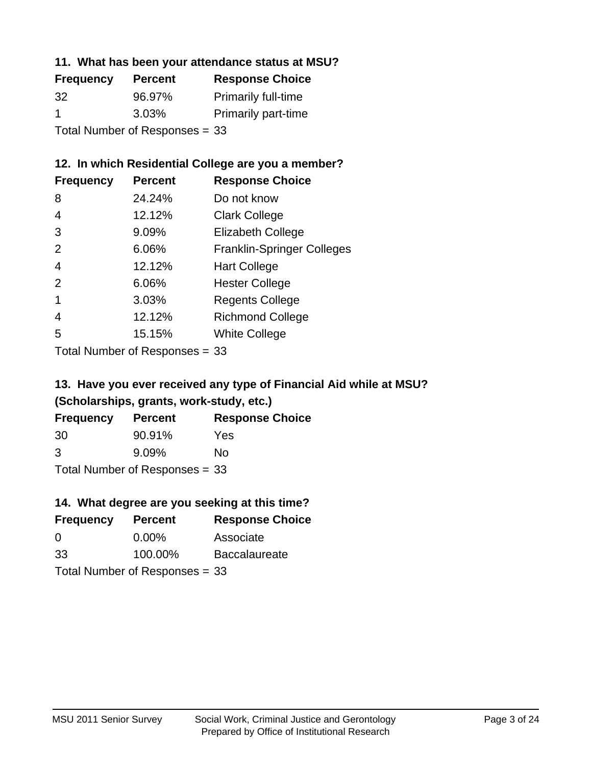#### **11. What has been your attendance status at MSU?**

| <b>Frequency</b>               | <b>Percent</b> | <b>Response Choice</b>     |
|--------------------------------|----------------|----------------------------|
| 32                             | 96.97%         | <b>Primarily full-time</b> |
| -1                             | 3.03%          | <b>Primarily part-time</b> |
| Total Number of Responses = 33 |                |                            |

#### **12. In which Residential College are you a member?**

| <b>Frequency</b> | <b>Percent</b> | <b>Response Choice</b>            |
|------------------|----------------|-----------------------------------|
| 8                | 24.24%         | Do not know                       |
| 4                | 12.12%         | <b>Clark College</b>              |
| 3                | 9.09%          | <b>Elizabeth College</b>          |
| 2                | 6.06%          | <b>Franklin-Springer Colleges</b> |
| 4                | 12.12%         | <b>Hart College</b>               |
| 2                | 6.06%          | <b>Hester College</b>             |
|                  | 3.03%          | <b>Regents College</b>            |
| 4                | 12.12%         | <b>Richmond College</b>           |
| 5                | 15.15%         | <b>White College</b>              |
|                  |                |                                   |

Total Number of Responses = 33

# **13. Have you ever received any type of Financial Aid while at MSU? (Scholarships, grants, work-study, etc.)**

| <b>Frequency</b>               | <b>Percent</b> | <b>Response Choice</b> |
|--------------------------------|----------------|------------------------|
| 30                             | 90.91%         | Yes                    |
| 3                              | 9.09%          | Nο                     |
| Total Number of Responses = 33 |                |                        |

#### **14. What degree are you seeking at this time?**

| <b>Frequency</b> | <b>Percent</b>                 | <b>Response Choice</b> |
|------------------|--------------------------------|------------------------|
| 0                | $0.00\%$                       | Associate              |
| 33               | 100.00%                        | <b>Baccalaureate</b>   |
|                  | Total Number of Responses = 33 |                        |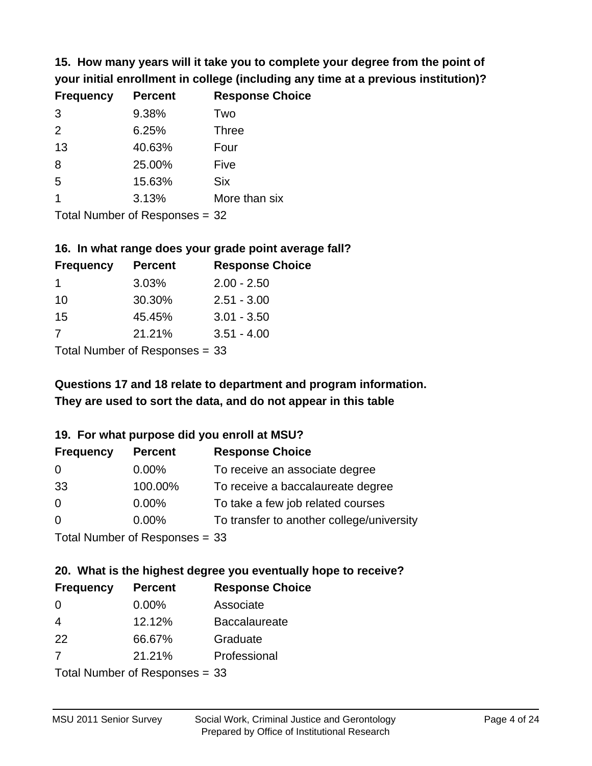**15. How many years will it take you to complete your degree from the point of your initial enrollment in college (including any time at a previous institution)?**

| <b>Frequency</b> | <b>Percent</b> | <b>Response Choice</b> |
|------------------|----------------|------------------------|
| 3                | 9.38%          | Two                    |
| 2                | 6.25%          | <b>Three</b>           |
| 13               | 40.63%         | Four                   |
| 8                | 25.00%         | Five                   |
| 5                | 15.63%         | <b>Six</b>             |
|                  | 3.13%          | More than six          |
|                  |                |                        |

Total Number of Responses = 32

#### **16. In what range does your grade point average fall?**

| <b>Frequency</b> | <b>Percent</b> | <b>Response Choice</b> |
|------------------|----------------|------------------------|
| 1.               | 3.03%          | $2.00 - 2.50$          |
| 10               | 30.30%         | $2.51 - 3.00$          |
| 15               | 45.45%         | $3.01 - 3.50$          |
| 7                | 21.21%         | $3.51 - 4.00$          |
| _                |                |                        |

Total Number of Responses = 33

# **They are used to sort the data, and do not appear in this table Questions 17 and 18 relate to department and program information.**

#### **19. For what purpose did you enroll at MSU?**

| <b>Frequency</b> | <b>Percent</b>                 | <b>Response Choice</b>                    |
|------------------|--------------------------------|-------------------------------------------|
| 0                | $0.00\%$                       | To receive an associate degree            |
| 33               | 100.00%                        | To receive a baccalaureate degree         |
| $\overline{0}$   | $0.00\%$                       | To take a few job related courses         |
| $\overline{0}$   | $0.00\%$                       | To transfer to another college/university |
|                  | Total Number of Responses = 33 |                                           |

# **20. What is the highest degree you eventually hope to receive?**

| <b>Frequency</b> | <b>Percent</b>            | <b>Response Choice</b> |
|------------------|---------------------------|------------------------|
| 0                | $0.00\%$                  | Associate              |
| $\overline{4}$   | 12.12%                    | <b>Baccalaureate</b>   |
| 22               | 66.67%                    | Graduate               |
| 7                | 21.21%                    | Professional           |
|                  | Total Number of Desponses |                        |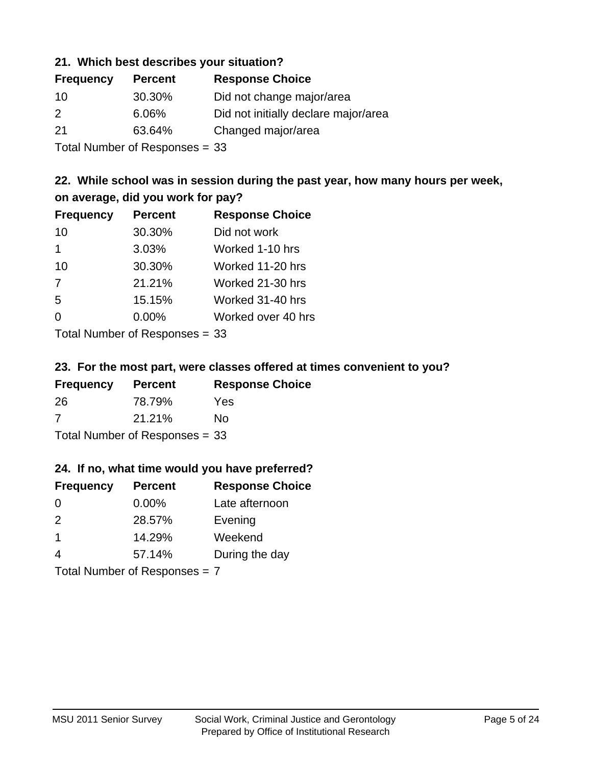#### **21. Which best describes your situation?**

| <b>Frequency</b> | <b>Percent</b>             | <b>Response Choice</b>               |
|------------------|----------------------------|--------------------------------------|
| -10              | 30.30%                     | Did not change major/area            |
| $\mathcal{P}$    | 6.06%                      | Did not initially declare major/area |
| 21               | 63.64%                     | Changed major/area                   |
|                  | Tatal Manakan af Dagmannar |                                      |

Total Number of Responses = 33

#### **22. While school was in session during the past year, how many hours per week, on average, did you work for pay?**

| <b>Frequency</b> | <b>Percent</b> | <b>Response Choice</b> |
|------------------|----------------|------------------------|
| 10               | 30.30%         | Did not work           |
| 1                | 3.03%          | Worked 1-10 hrs        |
| 10               | 30.30%         | Worked 11-20 hrs       |
| 7                | 21.21%         | Worked 21-30 hrs       |
| 5                | 15.15%         | Worked 31-40 hrs       |
| 0                | 0.00%          | Worked over 40 hrs     |
|                  |                |                        |

Total Number of Responses = 33

#### **23. For the most part, were classes offered at times convenient to you?**

| <b>Frequency</b>               | <b>Percent</b> | <b>Response Choice</b> |
|--------------------------------|----------------|------------------------|
| 26                             | 78.79%         | Yes                    |
| -7                             | 21.21%         | No.                    |
| Total Number of Responses = 33 |                |                        |

#### **24. If no, what time would you have preferred?**

| <b>Frequency</b> | <b>Percent</b>                  | <b>Response Choice</b> |
|------------------|---------------------------------|------------------------|
| $\Omega$         | $0.00\%$                        | Late afternoon         |
| 2                | 28.57%                          | Evening                |
| $\overline{1}$   | 14.29%                          | Weekend                |
| $\overline{4}$   | 57.14%                          | During the day         |
|                  | Total Number of Responses = $7$ |                        |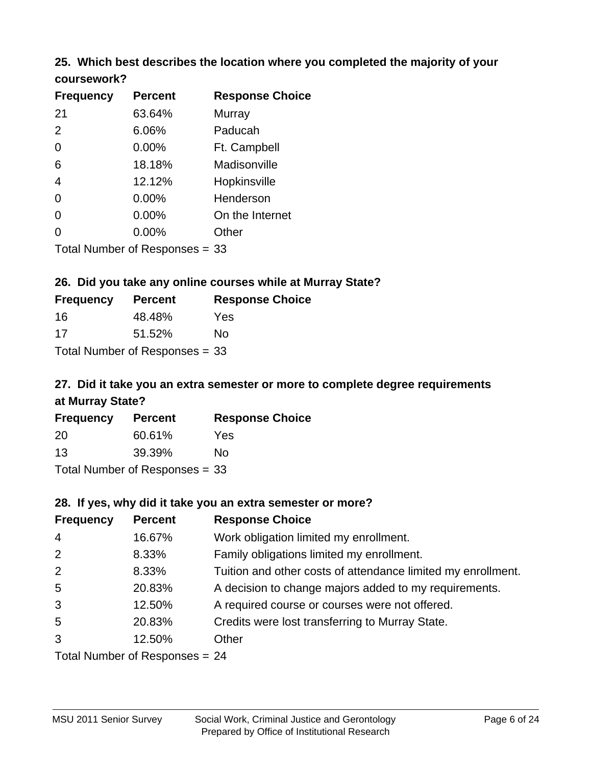# **25. Which best describes the location where you completed the majority of your**

| coursework? |  |
|-------------|--|
|-------------|--|

| <b>Frequency</b> | <b>Percent</b>                   | <b>Response Choice</b> |
|------------------|----------------------------------|------------------------|
| 21               | 63.64%                           | Murray                 |
| 2                | 6.06%                            | Paducah                |
| 0                | 0.00%                            | Ft. Campbell           |
| 6                | 18.18%                           | Madisonville           |
| 4                | 12.12%                           | Hopkinsville           |
| 0                | $0.00\%$                         | Henderson              |
| 0                | 0.00%                            | On the Internet        |
| 0                | 0.00%                            | Other                  |
|                  | Total Number of Responses $= 33$ |                        |

#### **26. Did you take any online courses while at Murray State?**

| <b>Frequency</b> | <b>Percent</b>                 | <b>Response Choice</b> |
|------------------|--------------------------------|------------------------|
| 16               | 48.48%                         | Yes                    |
| 17               | 51.52%                         | Nο                     |
|                  | Total Number of Responses = 33 |                        |

# **27. Did it take you an extra semester or more to complete degree requirements at Murray State?**

| <b>Frequency</b> | <b>Percent</b>                 | <b>Response Choice</b> |
|------------------|--------------------------------|------------------------|
| 20               | 60.61%                         | Yes                    |
| 13               | 39.39%                         | Nο                     |
|                  | Total Number of Responses = 33 |                        |

#### **28. If yes, why did it take you an extra semester or more?**

| <b>Frequency</b>               | <b>Percent</b> | <b>Response Choice</b>                                       |  |
|--------------------------------|----------------|--------------------------------------------------------------|--|
| $\overline{4}$                 | 16.67%         | Work obligation limited my enrollment.                       |  |
| 2                              | 8.33%          | Family obligations limited my enrollment.                    |  |
| 2                              | 8.33%          | Tuition and other costs of attendance limited my enrollment. |  |
| 5                              | 20.83%         | A decision to change majors added to my requirements.        |  |
| 3                              | 12.50%         | A required course or courses were not offered.               |  |
| 5                              | 20.83%         | Credits were lost transferring to Murray State.              |  |
| 3                              | 12.50%         | Other                                                        |  |
| Total Number of Responses = 24 |                |                                                              |  |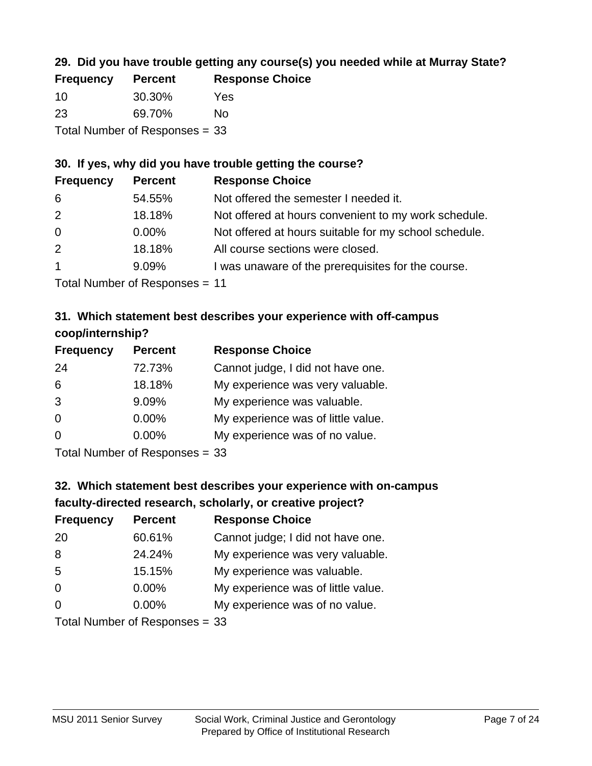#### **29. Did you have trouble getting any course(s) you needed while at Murray State?**

| <b>Frequency</b> | <b>Percent</b>                 | <b>Response Choice</b> |
|------------------|--------------------------------|------------------------|
| 10               | 30.30%                         | Yes                    |
| -23              | 69.70%                         | Nο                     |
|                  | Total Number of Responses = 33 |                        |

#### **30. If yes, why did you have trouble getting the course?**

| <b>Frequency</b> | <b>Percent</b> | <b>Response Choice</b>                                |
|------------------|----------------|-------------------------------------------------------|
| 6                | 54.55%         | Not offered the semester I needed it.                 |
| 2                | 18.18%         | Not offered at hours convenient to my work schedule.  |
| $\overline{0}$   | $0.00\%$       | Not offered at hours suitable for my school schedule. |
| 2                | 18.18%         | All course sections were closed.                      |
| $\overline{1}$   | 9.09%          | I was unaware of the prerequisites for the course.    |
|                  |                |                                                       |

Total Number of Responses = 11

#### **31. Which statement best describes your experience with off-campus coop/internship?**

| <b>Frequency</b> | <b>Percent</b>                                                                                                  | <b>Response Choice</b>             |
|------------------|-----------------------------------------------------------------------------------------------------------------|------------------------------------|
| 24               | 72.73%                                                                                                          | Cannot judge, I did not have one.  |
| 6                | 18.18%                                                                                                          | My experience was very valuable.   |
| 3                | 9.09%                                                                                                           | My experience was valuable.        |
| $\Omega$         | 0.00%                                                                                                           | My experience was of little value. |
| $\Omega$         | 0.00%                                                                                                           | My experience was of no value.     |
|                  | The Little and the Little Communication of the Communication of the Communication of the Communication of the U |                                    |

Total Number of Responses = 33

# **32. Which statement best describes your experience with on-campus faculty-directed research, scholarly, or creative project?**

| <b>Frequency</b> | <b>Percent</b>               | <b>Response Choice</b>             |
|------------------|------------------------------|------------------------------------|
| 20               | 60.61%                       | Cannot judge; I did not have one.  |
| 8                | 24.24%                       | My experience was very valuable.   |
| 5                | 15.15%                       | My experience was valuable.        |
| $\Omega$         | $0.00\%$                     | My experience was of little value. |
| $\Omega$         | $0.00\%$                     | My experience was of no value.     |
|                  | Total Number of Deepensee 22 |                                    |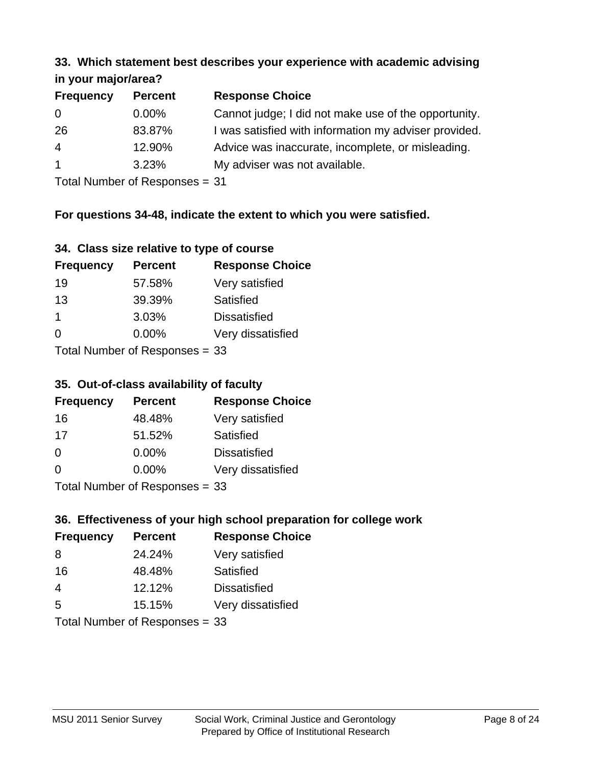#### **33. Which statement best describes your experience with academic advising in your major/area?**

| $\mathbf{u}$ yvu $\mathbf{u}$ yvu $\mathbf{v}$ |                |                                                       |
|------------------------------------------------|----------------|-------------------------------------------------------|
| <b>Frequency</b>                               | <b>Percent</b> | <b>Response Choice</b>                                |
| 0                                              | $0.00\%$       | Cannot judge; I did not make use of the opportunity.  |
| 26                                             | 83.87%         | I was satisfied with information my adviser provided. |
| $\overline{4}$                                 | 12.90%         | Advice was inaccurate, incomplete, or misleading.     |
| $\mathbf{1}$                                   | 3.23%          | My adviser was not available.                         |
|                                                |                |                                                       |

Total Number of Responses = 31

#### **For questions 34-48, indicate the extent to which you were satisfied.**

| 34. Class size relative to type of course |  |  |  |  |  |  |  |  |
|-------------------------------------------|--|--|--|--|--|--|--|--|
|-------------------------------------------|--|--|--|--|--|--|--|--|

| <b>Frequency</b> | <b>Percent</b>                  | <b>Response Choice</b> |
|------------------|---------------------------------|------------------------|
| 19               | 57.58%                          | Very satisfied         |
| 13               | 39.39%                          | Satisfied              |
| -1               | 3.03%                           | <b>Dissatisfied</b>    |
| $\Omega$         | $0.00\%$                        | Very dissatisfied      |
|                  | Total Number of Responses $-33$ |                        |

I otal Number of Responses =  $33$ 

#### **35. Out-of-class availability of faculty**

| <b>Frequency</b>             | <b>Percent</b> | <b>Response Choice</b> |  |  |
|------------------------------|----------------|------------------------|--|--|
| 16                           | 48.48%         | Very satisfied         |  |  |
| 17                           | 51.52%         | Satisfied              |  |  |
| $\Omega$                     | $0.00\%$       | <b>Dissatisfied</b>    |  |  |
| $\Omega$                     | $0.00\%$       | Very dissatisfied      |  |  |
| $Total Number of DoEROROR =$ |                |                        |  |  |

Total Number of Responses = 33

# **36. Effectiveness of your high school preparation for college work**

| <b>Frequency</b> | <b>Percent</b>            | <b>Response Choice</b> |
|------------------|---------------------------|------------------------|
| 8                | 24.24%                    | Very satisfied         |
| 16               | 48.48%                    | Satisfied              |
| 4                | 12.12%                    | <b>Dissatisfied</b>    |
| 5                | 15.15%                    | Very dissatisfied      |
|                  | Total Number of Deepersee |                        |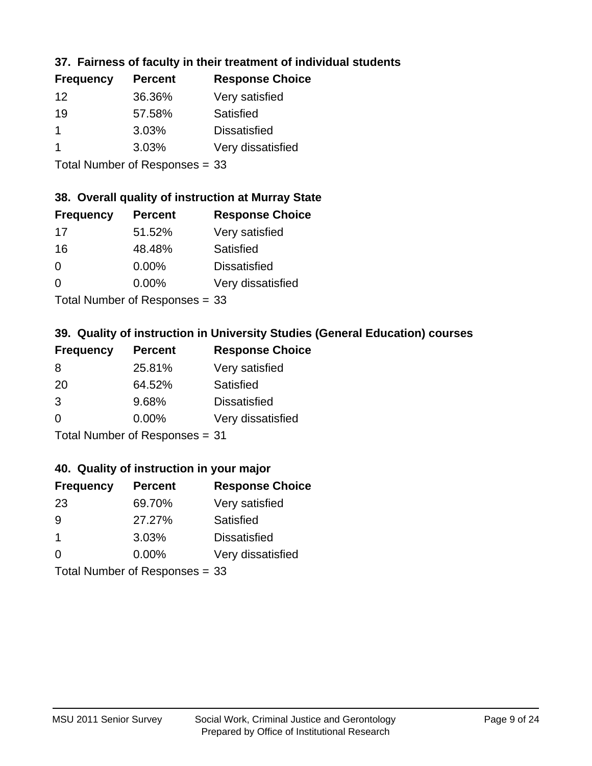#### **37. Fairness of faculty in their treatment of individual students**

| <b>Frequency</b> | <b>Percent</b> | <b>Response Choice</b> |
|------------------|----------------|------------------------|
| 12               | 36.36%         | Very satisfied         |
| 19               | 57.58%         | Satisfied              |
|                  | 3.03%          | <b>Dissatisfied</b>    |
|                  | 3.03%          | Very dissatisfied      |
|                  |                |                        |

Total Number of Responses = 33

#### **38. Overall quality of instruction at Murray State**

| <b>Frequency</b>                        | <b>Percent</b> | <b>Response Choice</b> |
|-----------------------------------------|----------------|------------------------|
| 17                                      | 51.52%         | Very satisfied         |
| 16                                      | 48.48%         | Satisfied              |
| $\Omega$                                | $0.00\%$       | <b>Dissatisfied</b>    |
| $\Omega$                                | $0.00\%$       | Very dissatisfied      |
| $T$ at all Message and $D$ are a second |                |                        |

Total Number of Responses = 33

#### **39. Quality of instruction in University Studies (General Education) courses**

| <b>Frequency</b> | <b>Percent</b>            | <b>Response Choice</b> |
|------------------|---------------------------|------------------------|
| 8                | 25.81%                    | Very satisfied         |
| 20               | 64.52%                    | Satisfied              |
| 3                | 9.68%                     | <b>Dissatisfied</b>    |
| $\Omega$         | 0.00%                     | Very dissatisfied      |
|                  | Total Number of Desponses |                        |

Total Number of Responses = 31

#### **40. Quality of instruction in your major**

| <b>Frequency</b> | <b>Percent</b>             | <b>Response Choice</b> |
|------------------|----------------------------|------------------------|
| 23               | 69.70%                     | Very satisfied         |
| 9                | 27.27%                     | Satisfied              |
| $\mathbf 1$      | 3.03%                      | <b>Dissatisfied</b>    |
| $\Omega$         | 0.00%                      | Very dissatisfied      |
|                  | Total Number of Deepersoon |                        |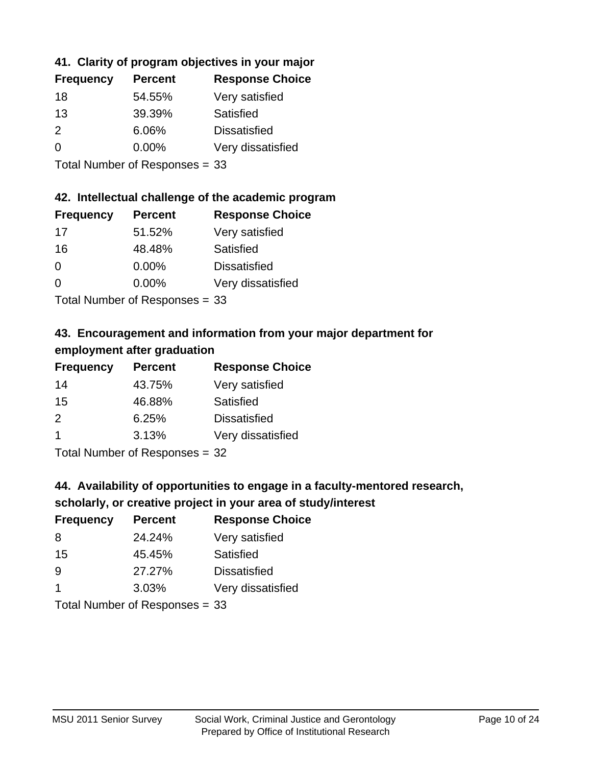#### **41. Clarity of program objectives in your major**

| <b>Frequency</b> | <b>Percent</b> | <b>Response Choice</b> |
|------------------|----------------|------------------------|
| 18               | 54.55%         | Very satisfied         |
| 13               | 39.39%         | Satisfied              |
| 2                | 6.06%          | <b>Dissatisfied</b>    |
| $\Omega$         | $0.00\%$       | Very dissatisfied      |
|                  |                |                        |

Total Number of Responses = 33

#### **42. Intellectual challenge of the academic program**

| <b>Frequency</b> | <b>Percent</b> | <b>Response Choice</b> |
|------------------|----------------|------------------------|
| 17               | 51.52%         | Very satisfied         |
| 16               | 48.48%         | Satisfied              |
| $\Omega$         | 0.00%          | <b>Dissatisfied</b>    |
| $\Omega$         | 0.00%          | Very dissatisfied      |
|                  |                |                        |

Total Number of Responses = 33

# **43. Encouragement and information from your major department for employment after graduation**

| <b>Frequency</b> | <b>Percent</b> | <b>Response Choice</b> |
|------------------|----------------|------------------------|
| 14               | 43.75%         | Very satisfied         |
| 15               | 46.88%         | Satisfied              |
| 2                | 6.25%          | <b>Dissatisfied</b>    |
| $\mathbf 1$      | 3.13%          | Very dissatisfied      |
|                  |                |                        |

Total Number of Responses = 32

#### **44. Availability of opportunities to engage in a faculty-mentored research,**

#### **scholarly, or creative project in your area of study/interest**

| <b>Frequency</b> | <b>Percent</b> | <b>Response Choice</b> |
|------------------|----------------|------------------------|
| 8                | 24.24%         | Very satisfied         |
| 15               | 45.45%         | Satisfied              |
| 9                | 27.27%         | <b>Dissatisfied</b>    |
|                  | 3.03%          | Very dissatisfied      |
|                  |                |                        |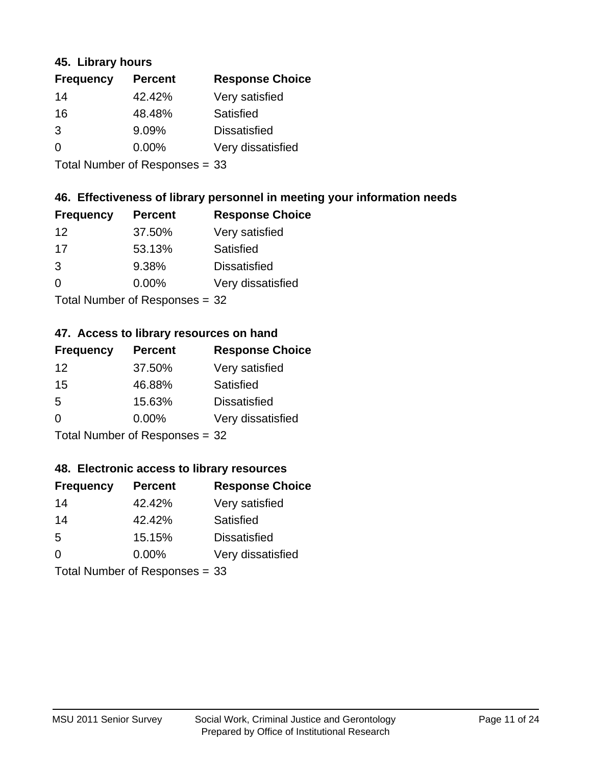#### **45. Library hours**

| <b>Frequency</b> | <b>Percent</b> | <b>Response Choice</b> |
|------------------|----------------|------------------------|
| 14               | 42.42%         | Very satisfied         |
| 16               | 48.48%         | Satisfied              |
| 3                | 9.09%          | <b>Dissatisfied</b>    |
| $\Omega$         | 0.00%          | Very dissatisfied      |
|                  |                |                        |

Total Number of Responses = 33

#### **46. Effectiveness of library personnel in meeting your information needs**

| <b>Frequency</b> | <b>Percent</b> | <b>Response Choice</b> |
|------------------|----------------|------------------------|
| 12               | 37.50%         | Very satisfied         |
| 17               | 53.13%         | Satisfied              |
| 3                | 9.38%          | <b>Dissatisfied</b>    |
| $\Omega$         | 0.00%          | Very dissatisfied      |
|                  |                |                        |

Total Number of Responses = 32

#### **47. Access to library resources on hand**

| <b>Frequency</b> | <b>Percent</b>                 | <b>Response Choice</b> |
|------------------|--------------------------------|------------------------|
| 12               | 37.50%                         | Very satisfied         |
| 15               | 46.88%                         | Satisfied              |
| 5                | 15.63%                         | <b>Dissatisfied</b>    |
| $\Omega$         | $0.00\%$                       | Very dissatisfied      |
|                  | Total Number of Responses = 32 |                        |

#### **48. Electronic access to library resources**

| <b>Frequency</b> | <b>Percent</b>                 | <b>Response Choice</b> |
|------------------|--------------------------------|------------------------|
| 14               | 42.42%                         | Very satisfied         |
| 14               | 42.42%                         | Satisfied              |
| 5                | 15.15%                         | <b>Dissatisfied</b>    |
| $\Omega$         | $0.00\%$                       | Very dissatisfied      |
|                  | Total Number of Responses = 33 |                        |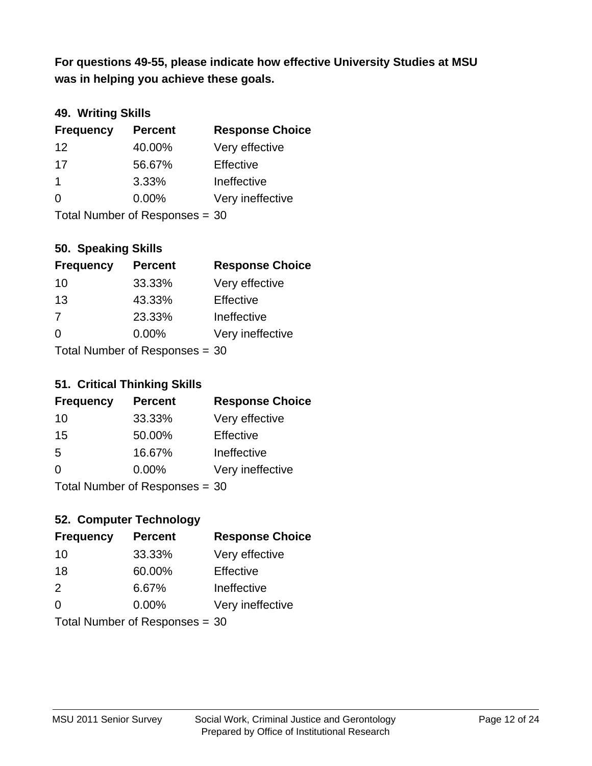**was in helping you achieve these goals. For questions 49-55, please indicate how effective University Studies at MSU** 

#### **49. Writing Skills**

| <b>Frequency</b> | <b>Percent</b>                 | <b>Response Choice</b> |
|------------------|--------------------------------|------------------------|
| 12               | 40.00%                         | Very effective         |
| 17               | 56.67%                         | Effective              |
| $\overline{1}$   | 3.33%                          | Ineffective            |
| $\Omega$         | $0.00\%$                       | Very ineffective       |
|                  | Total Number of Responses = 30 |                        |

#### **50. Speaking Skills**

| <b>Frequency</b>               | <b>Percent</b> | <b>Response Choice</b> |
|--------------------------------|----------------|------------------------|
| 10                             | 33.33%         | Very effective         |
| 13                             | 43.33%         | Effective              |
| 7                              | 23.33%         | Ineffective            |
| $\Omega$                       | $0.00\%$       | Very ineffective       |
| Total Number of Responses = 30 |                |                        |

#### **51. Critical Thinking Skills**

| <b>Frequency</b> | <b>Percent</b>                  | <b>Response Choice</b> |
|------------------|---------------------------------|------------------------|
| 10               | 33.33%                          | Very effective         |
| 15               | 50.00%                          | Effective              |
| -5               | 16.67%                          | Ineffective            |
| ∩                | 0.00%                           | Very ineffective       |
|                  | $Total$ Number of Despasses $-$ |                        |

#### Total Number of Responses = 30

#### **52. Computer Technology**

| <b>Frequency</b>               | <b>Percent</b> | <b>Response Choice</b> |
|--------------------------------|----------------|------------------------|
| 10                             | 33.33%         | Very effective         |
| 18                             | 60.00%         | Effective              |
| 2                              | 6.67%          | Ineffective            |
| $\Omega$                       | 0.00%          | Very ineffective       |
| Total Number of Responses = 30 |                |                        |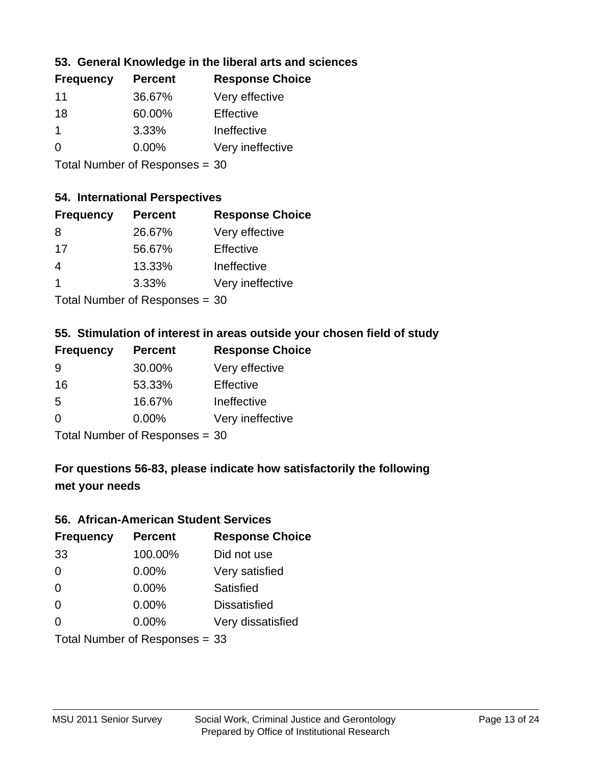#### **53. General Knowledge in the liberal arts and sciences**

| <b>Frequency</b> | <b>Percent</b> | <b>Response Choice</b> |
|------------------|----------------|------------------------|
| 11               | 36.67%         | Very effective         |
| 18               | 60.00%         | Effective              |
| 1                | 3.33%          | Ineffective            |
| $\Omega$         | 0.00%          | Very ineffective       |
|                  |                |                        |

Total Number of Responses = 30

#### **54. International Perspectives**

| <b>Frequency</b> | <b>Percent</b>             | <b>Response Choice</b> |
|------------------|----------------------------|------------------------|
| 8                | 26.67%                     | Very effective         |
| 17               | 56.67%                     | Effective              |
| 4                | 13.33%                     | Ineffective            |
| 1                | 3.33%                      | Very ineffective       |
|                  | Total Number of Deepersoon |                        |

Total Number of Responses = 30

#### **55. Stimulation of interest in areas outside your chosen field of study**

| <b>Frequency</b>               | <b>Percent</b> | <b>Response Choice</b> |
|--------------------------------|----------------|------------------------|
| 9                              | 30.00%         | Very effective         |
| 16                             | 53.33%         | Effective              |
| .5                             | 16.67%         | Ineffective            |
| $\Omega$                       | $0.00\%$       | Very ineffective       |
| Total Number of Responses = 30 |                |                        |

# **For questions 56-83, please indicate how satisfactorily the following met your needs**

#### **56. African-American Student Services**

| <b>Frequency</b> | <b>Percent</b>                 | <b>Response Choice</b> |
|------------------|--------------------------------|------------------------|
| 33               | 100.00%                        | Did not use            |
| $\Omega$         | 0.00%                          | Very satisfied         |
| 0                | 0.00%                          | Satisfied              |
| 0                | $0.00\%$                       | <b>Dissatisfied</b>    |
| $\Omega$         | 0.00%                          | Very dissatisfied      |
|                  | Total Number of Responses = 33 |                        |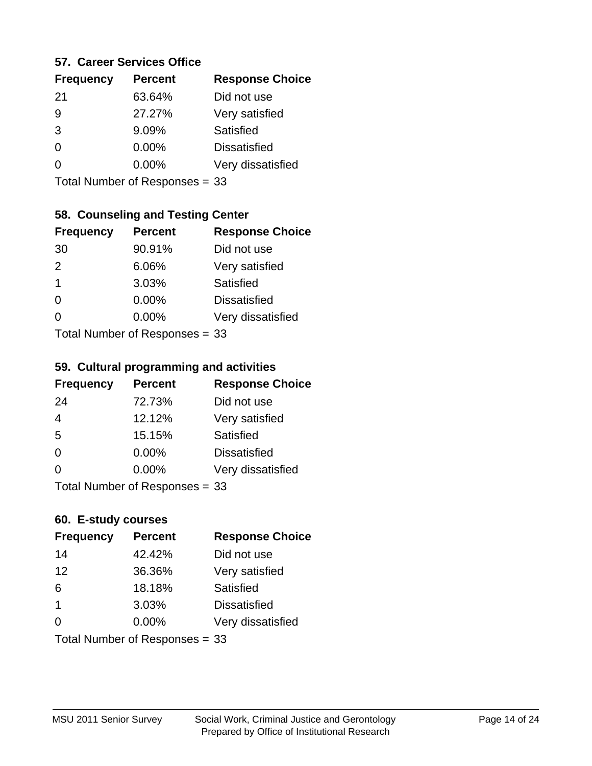#### **57. Career Services Office**

| <b>Frequency</b> | <b>Percent</b> | <b>Response Choice</b> |
|------------------|----------------|------------------------|
| -21              | 63.64%         | Did not use            |
| 9                | 27.27%         | Very satisfied         |
| 3                | 9.09%          | Satisfied              |
| 0                | $0.00\%$       | <b>Dissatisfied</b>    |
|                  | $0.00\%$       | Very dissatisfied      |
|                  |                |                        |

Total Number of Responses = 33

### **58. Counseling and Testing Center**

| <b>Frequency</b> | <b>Percent</b>            | <b>Response Choice</b> |
|------------------|---------------------------|------------------------|
| 30               | 90.91%                    | Did not use            |
| 2                | 6.06%                     | Very satisfied         |
| 1                | 3.03%                     | Satisfied              |
| 0                | 0.00%                     | <b>Dissatisfied</b>    |
| 0                | $0.00\%$                  | Very dissatisfied      |
|                  | Total Number of Desponses |                        |

Total Number of Responses = 33

#### **59. Cultural programming and activities**

| <b>Frequency</b> | <b>Percent</b>                 | <b>Response Choice</b> |
|------------------|--------------------------------|------------------------|
| 24               | 72.73%                         | Did not use            |
| $\overline{4}$   | 12.12%                         | Very satisfied         |
| 5                | 15.15%                         | Satisfied              |
| $\Omega$         | $0.00\%$                       | <b>Dissatisfied</b>    |
| $\Omega$         | $0.00\%$                       | Very dissatisfied      |
|                  | Total Number of Responses = 33 |                        |

# **60. E-study courses**

| <b>Frequency</b> | <b>Percent</b>                 | <b>Response Choice</b> |
|------------------|--------------------------------|------------------------|
| 14               | 42.42%                         | Did not use            |
| 12               | 36.36%                         | Very satisfied         |
| 6                | 18.18%                         | Satisfied              |
| $\overline{1}$   | 3.03%                          | <b>Dissatisfied</b>    |
| $\Omega$         | 0.00%                          | Very dissatisfied      |
|                  | Total Number of Responses = 33 |                        |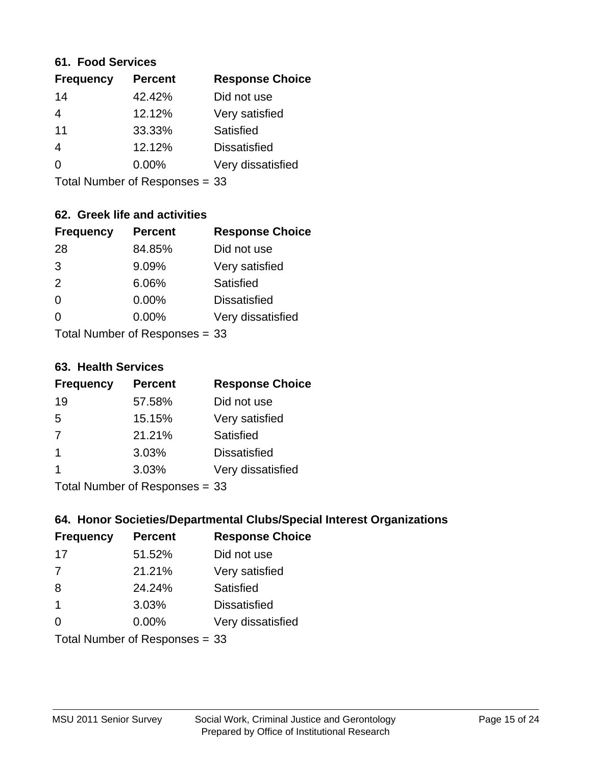#### **61. Food Services**

| <b>Frequency</b> | <b>Percent</b> | <b>Response Choice</b> |
|------------------|----------------|------------------------|
| 14               | 42.42%         | Did not use            |
| 4                | 12.12%         | Very satisfied         |
| 11               | 33.33%         | Satisfied              |
| 4                | 12.12%         | <b>Dissatisfied</b>    |
| 0                | $0.00\%$       | Very dissatisfied      |
|                  |                |                        |

Total Number of Responses = 33

#### **62. Greek life and activities**

| <b>Frequency</b> | <b>Percent</b>                 | <b>Response Choice</b> |
|------------------|--------------------------------|------------------------|
| 28               | 84.85%                         | Did not use            |
| 3                | 9.09%                          | Very satisfied         |
| 2                | 6.06%                          | Satisfied              |
| $\Omega$         | 0.00%                          | <b>Dissatisfied</b>    |
| 0                | $0.00\%$                       | Very dissatisfied      |
|                  | Total Number of Responses = 33 |                        |

**63. Health Services**

| <b>Frequency</b> | <b>Percent</b>            | <b>Response Choice</b> |
|------------------|---------------------------|------------------------|
| 19               | 57.58%                    | Did not use            |
| 5                | 15.15%                    | Very satisfied         |
| 7                | 21.21%                    | <b>Satisfied</b>       |
| $\overline{1}$   | 3.03%                     | <b>Dissatisfied</b>    |
|                  | 3.03%                     | Very dissatisfied      |
|                  | Total Number of Desponses |                        |

Total Number of Responses = 33

#### **64. Honor Societies/Departmental Clubs/Special Interest Organizations**

| <b>Frequency</b> | <b>Percent</b>                 | <b>Response Choice</b> |
|------------------|--------------------------------|------------------------|
| 17               | 51.52%                         | Did not use            |
| 7                | 21.21%                         | Very satisfied         |
| 8                | 24.24%                         | Satisfied              |
| $\overline{1}$   | 3.03%                          | <b>Dissatisfied</b>    |
| $\Omega$         | 0.00%                          | Very dissatisfied      |
|                  | Total Number of Responses = 33 |                        |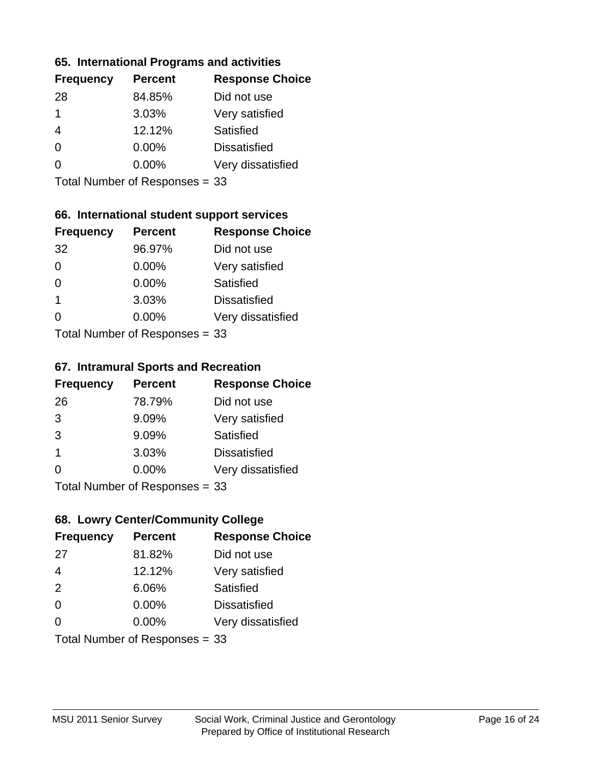#### **65. International Programs and activities**

| <b>Frequency</b> | <b>Percent</b> | <b>Response Choice</b> |
|------------------|----------------|------------------------|
| 28               | 84.85%         | Did not use            |
| 1                | 3.03%          | Very satisfied         |
| 4                | 12.12%         | Satisfied              |
| 0                | $0.00\%$       | <b>Dissatisfied</b>    |
|                  | $0.00\%$       | Very dissatisfied      |
|                  |                |                        |

Total Number of Responses = 33

#### **66. International student support services**

| <b>Frequency</b> | <b>Percent</b>            | <b>Response Choice</b> |
|------------------|---------------------------|------------------------|
| 32               | 96.97%                    | Did not use            |
| $\Omega$         | 0.00%                     | Very satisfied         |
| $\Omega$         | $0.00\%$                  | <b>Satisfied</b>       |
| $\overline{1}$   | 3.03%                     | <b>Dissatisfied</b>    |
| 0                | 0.00%                     | Very dissatisfied      |
|                  | Total Number of Desponses |                        |

Total Number of Responses = 33

#### **67. Intramural Sports and Recreation**

| <b>Frequency</b> | <b>Percent</b>                  | <b>Response Choice</b> |
|------------------|---------------------------------|------------------------|
| 26               | 78.79%                          | Did not use            |
| 3                | 9.09%                           | Very satisfied         |
| 3                | 9.09%                           | Satisfied              |
| -1               | 3.03%                           | <b>Dissatisfied</b>    |
| $\Omega$         | 0.00%                           | Very dissatisfied      |
|                  | $Total Number of Denonose = 22$ |                        |

Total Number of Responses = 33

#### **68. Lowry Center/Community College**

| <b>Frequency</b> | <b>Percent</b>                 | <b>Response Choice</b> |
|------------------|--------------------------------|------------------------|
| 27               | 81.82%                         | Did not use            |
| $\overline{4}$   | 12.12%                         | Very satisfied         |
| 2                | 6.06%                          | Satisfied              |
| $\Omega$         | $0.00\%$                       | <b>Dissatisfied</b>    |
| $\Omega$         | 0.00%                          | Very dissatisfied      |
|                  | Total Number of Responses = 33 |                        |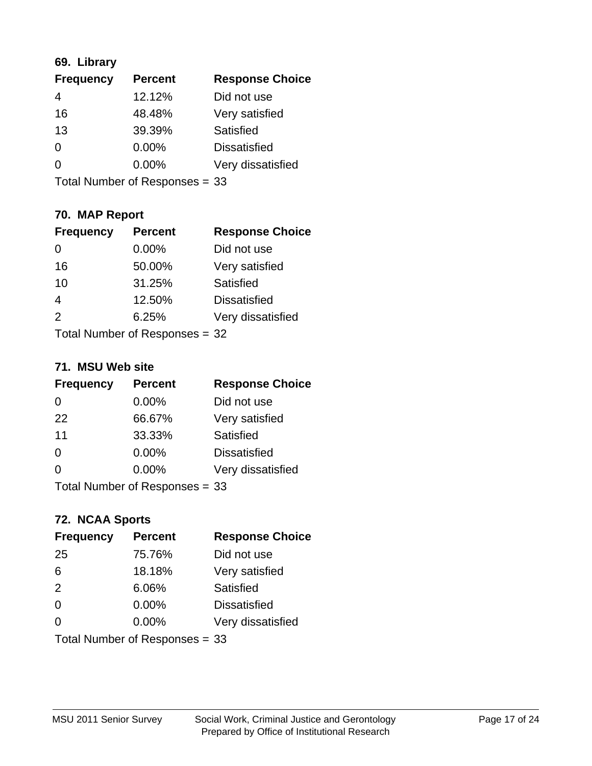#### **69. Library**

| <b>Frequency</b> | <b>Percent</b> | <b>Response Choice</b> |
|------------------|----------------|------------------------|
| 4                | 12.12%         | Did not use            |
| 16               | 48.48%         | Very satisfied         |
| 13               | 39.39%         | Satisfied              |
| 0                | 0.00%          | <b>Dissatisfied</b>    |
| 0                | 0.00%          | Very dissatisfied      |
|                  |                |                        |

Total Number of Responses = 33

# **70. MAP Report**

| <b>Frequency</b> | <b>Percent</b>                 | <b>Response Choice</b> |
|------------------|--------------------------------|------------------------|
| 0                | 0.00%                          | Did not use            |
| 16               | 50.00%                         | Very satisfied         |
| 10               | 31.25%                         | Satisfied              |
| $\overline{4}$   | 12.50%                         | <b>Dissatisfied</b>    |
| $\mathcal{P}$    | 6.25%                          | Very dissatisfied      |
|                  | Total Number of Responses = 32 |                        |

#### **71. MSU Web site**

| <b>Frequency</b>               | <b>Percent</b> | <b>Response Choice</b> |
|--------------------------------|----------------|------------------------|
| $\Omega$                       | $0.00\%$       | Did not use            |
| 22                             | 66.67%         | Very satisfied         |
| 11                             | 33.33%         | Satisfied              |
| $\Omega$                       | 0.00%          | <b>Dissatisfied</b>    |
| 0                              | 0.00%          | Very dissatisfied      |
| Total Number of Responses = 33 |                |                        |

#### **72. NCAA Sports**

| <b>Frequency</b> | <b>Percent</b>                 | <b>Response Choice</b> |
|------------------|--------------------------------|------------------------|
| 25               | 75.76%                         | Did not use            |
| 6                | 18.18%                         | Very satisfied         |
| 2                | 6.06%                          | Satisfied              |
| 0                | $0.00\%$                       | <b>Dissatisfied</b>    |
| $\Omega$         | 0.00%                          | Very dissatisfied      |
|                  | Total Number of Responses = 33 |                        |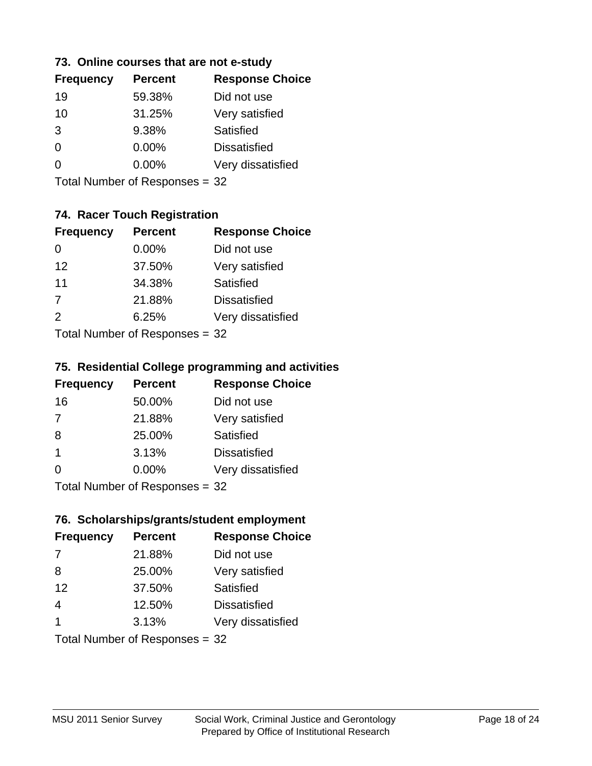#### **73. Online courses that are not e-study**

| <b>Frequency</b> | <b>Percent</b> | <b>Response Choice</b> |
|------------------|----------------|------------------------|
| 19               | 59.38%         | Did not use            |
| 10               | 31.25%         | Very satisfied         |
| 3                | 9.38%          | Satisfied              |
| 0                | $0.00\%$       | <b>Dissatisfied</b>    |
|                  | $0.00\%$       | Very dissatisfied      |
|                  |                |                        |

Total Number of Responses = 32

# **74. Racer Touch Registration**

| <b>Frequency</b>          | <b>Percent</b> | <b>Response Choice</b> |
|---------------------------|----------------|------------------------|
| 0                         | $0.00\%$       | Did not use            |
| 12                        | 37.50%         | Very satisfied         |
| 11                        | 34.38%         | <b>Satisfied</b>       |
| $\overline{7}$            | 21.88%         | <b>Dissatisfied</b>    |
| $\mathcal{P}$             | 6.25%          | Very dissatisfied      |
| Total Number of Desponses |                |                        |

Total Number of Responses = 32

#### **75. Residential College programming and activities**

| <b>Frequency</b>          | <b>Percent</b> | <b>Response Choice</b> |
|---------------------------|----------------|------------------------|
| 16                        | 50.00%         | Did not use            |
| 7                         | 21.88%         | Very satisfied         |
| 8                         | 25.00%         | Satisfied              |
| -1                        | 3.13%          | <b>Dissatisfied</b>    |
| 0                         | 0.00%          | Very dissatisfied      |
| Total Number of Desponses |                |                        |

Total Number of Responses = 32

#### **76. Scholarships/grants/student employment**

| <b>Frequency</b>               | <b>Percent</b> | <b>Response Choice</b> |
|--------------------------------|----------------|------------------------|
| 7                              | 21.88%         | Did not use            |
| 8                              | 25.00%         | Very satisfied         |
| 12                             | 37.50%         | Satisfied              |
| $\overline{4}$                 | 12.50%         | <b>Dissatisfied</b>    |
| $\overline{\mathbf{1}}$        | 3.13%          | Very dissatisfied      |
| Total Number of Responses = 32 |                |                        |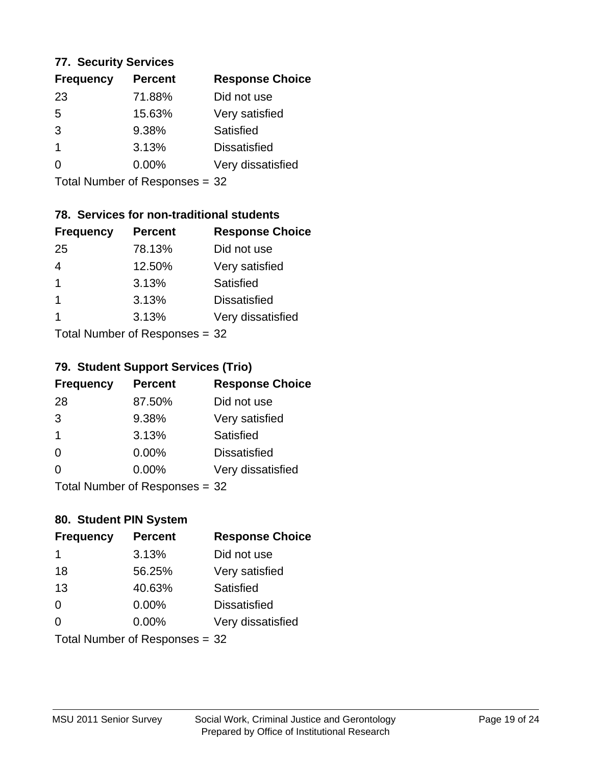#### **77. Security Services**

| <b>Percent</b> | <b>Response Choice</b> |
|----------------|------------------------|
| 71.88%         | Did not use            |
| 15.63%         | Very satisfied         |
| 9.38%          | Satisfied              |
| 3.13%          | <b>Dissatisfied</b>    |
| $0.00\%$       | Very dissatisfied      |
|                |                        |

Total Number of Responses = 32

### **78. Services for non-traditional students**

| <b>Frequency</b>           | <b>Percent</b> | <b>Response Choice</b> |
|----------------------------|----------------|------------------------|
| 25                         | 78.13%         | Did not use            |
| 4                          | 12.50%         | Very satisfied         |
| $\overline{1}$             | 3.13%          | <b>Satisfied</b>       |
| 1                          | 3.13%          | <b>Dissatisfied</b>    |
| 1                          | 3.13%          | Very dissatisfied      |
| Tetal Number of Desperance |                |                        |

Total Number of Responses = 32

#### **79. Student Support Services (Trio)**

| <b>Frequency</b>            | <b>Percent</b> | <b>Response Choice</b> |
|-----------------------------|----------------|------------------------|
| 28                          | 87.50%         | Did not use            |
| 3                           | 9.38%          | Very satisfied         |
| $\mathbf 1$                 | 3.13%          | Satisfied              |
| $\Omega$                    | 0.00%          | <b>Dissatisfied</b>    |
| $\Omega$                    | 0.00%          | Very dissatisfied      |
| Total Number of Depanonce - |                |                        |

I otal Number of Responses = 32

#### **80. Student PIN System**

| <b>Frequency</b> | <b>Percent</b>                 | <b>Response Choice</b> |
|------------------|--------------------------------|------------------------|
| 1                | 3.13%                          | Did not use            |
| 18               | 56.25%                         | Very satisfied         |
| 13               | 40.63%                         | Satisfied              |
| $\Omega$         | $0.00\%$                       | <b>Dissatisfied</b>    |
| $\Omega$         | 0.00%                          | Very dissatisfied      |
|                  | Total Number of Responses = 32 |                        |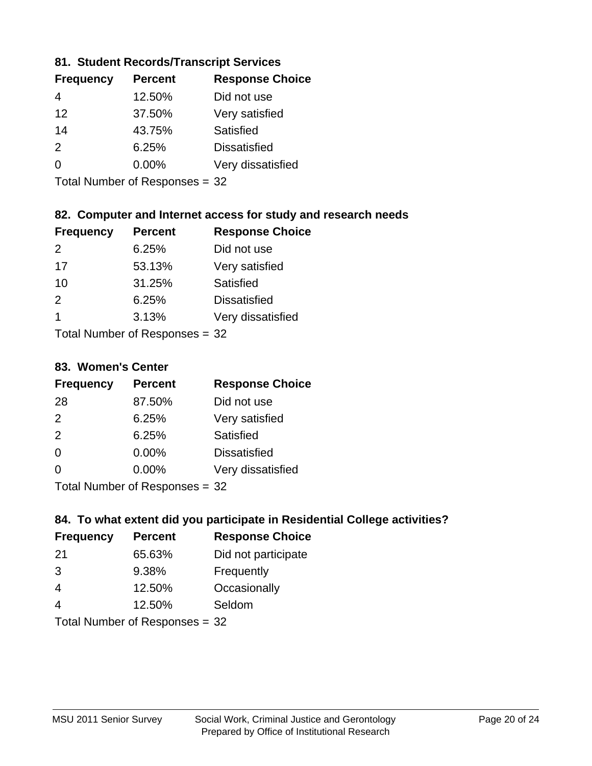#### **81. Student Records/Transcript Services**

| <b>Frequency</b> | <b>Percent</b> | <b>Response Choice</b> |
|------------------|----------------|------------------------|
| 4                | 12.50%         | Did not use            |
| 12               | 37.50%         | Very satisfied         |
| 14               | 43.75%         | <b>Satisfied</b>       |
| $\mathcal{P}$    | 6.25%          | <b>Dissatisfied</b>    |
| ∩                | $0.00\%$       | Very dissatisfied      |
|                  |                |                        |

Total Number of Responses = 32

#### **82. Computer and Internet access for study and research needs**

| <b>Frequency</b>           | <b>Percent</b> | <b>Response Choice</b> |
|----------------------------|----------------|------------------------|
| $\mathcal{P}$              | 6.25%          | Did not use            |
| 17                         | 53.13%         | Very satisfied         |
| 10                         | 31.25%         | Satisfied              |
| 2                          | 6.25%          | <b>Dissatisfied</b>    |
| 1                          | 3.13%          | Very dissatisfied      |
| Tetal Number of Desperance |                |                        |

Total Number of Responses = 32

#### **83. Women's Center**

| <b>Frequency</b>           | <b>Percent</b> | <b>Response Choice</b> |
|----------------------------|----------------|------------------------|
| 28                         | 87.50%         | Did not use            |
| $\mathcal{P}$              | 6.25%          | Very satisfied         |
| 2                          | 6.25%          | Satisfied              |
| $\Omega$                   | $0.00\%$       | <b>Dissatisfied</b>    |
| $\Omega$                   | 0.00%          | Very dissatisfied      |
| Total Number of Deepersoon |                |                        |

Total Number of Responses = 32

#### **84. To what extent did you participate in Residential College activities?**

| <b>Frequency</b>            | <b>Percent</b> | <b>Response Choice</b> |
|-----------------------------|----------------|------------------------|
| -21                         | 65.63%         | Did not participate    |
| 3                           | 9.38%          | Frequently             |
| $\overline{4}$              | 12.50%         | Occasionally           |
| 4                           | 12.50%         | Seldom                 |
| Tatal Mussakers of December |                |                        |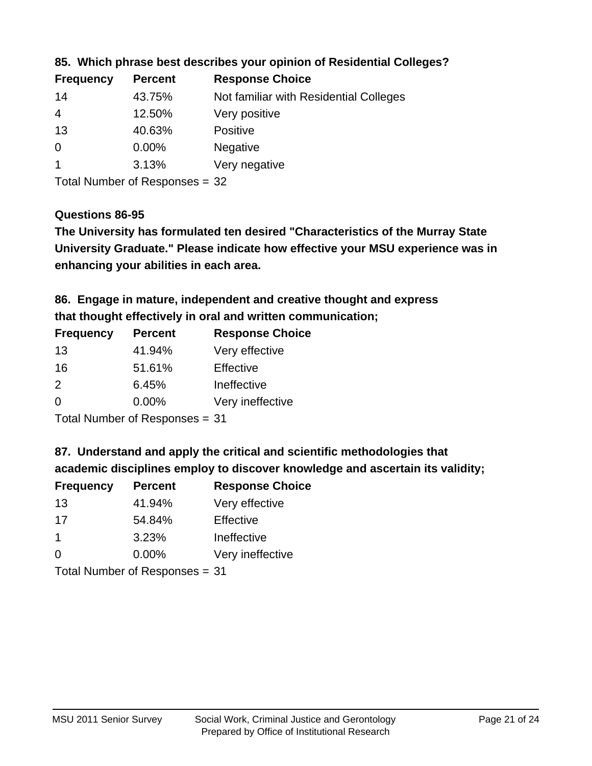| <b>Frequency</b> | <b>Percent</b> | <b>Response Choice</b>                 |
|------------------|----------------|----------------------------------------|
| 14               | 43.75%         | Not familiar with Residential Colleges |
| $\overline{4}$   | 12.50%         | Very positive                          |
| 13               | 40.63%         | <b>Positive</b>                        |
| 0                | $0.00\%$       | <b>Negative</b>                        |
|                  | 3.13%          | Very negative                          |
|                  |                |                                        |

#### **85. Which phrase best describes your opinion of Residential Colleges?**

Total Number of Responses = 32

#### **Questions 86-95**

**University Graduate." Please indicate how effective your MSU experience was in The University has formulated ten desired "Characteristics of the Murray State enhancing your abilities in each area.**

# **86. Engage in mature, independent and creative thought and express that thought effectively in oral and written communication;**

| <b>Percent</b> | <b>Response Choice</b> |
|----------------|------------------------|
| 41.94%         | Very effective         |
| 51.61%         | Effective              |
| 6.45%          | Ineffective            |
| $0.00\%$       | Very ineffective       |
|                |                        |

Total Number of Responses = 31

#### **87. Understand and apply the critical and scientific methodologies that**

**academic disciplines employ to discover knowledge and ascertain its validity;**

| <b>Frequency</b> | <b>Percent</b> | <b>Response Choice</b> |
|------------------|----------------|------------------------|
| 13               | 41.94%         | Very effective         |
| 17               | 54.84%         | Effective              |
| $\mathbf 1$      | 3.23%          | Ineffective            |
| $\Omega$         | 0.00%          | Very ineffective       |
|                  |                |                        |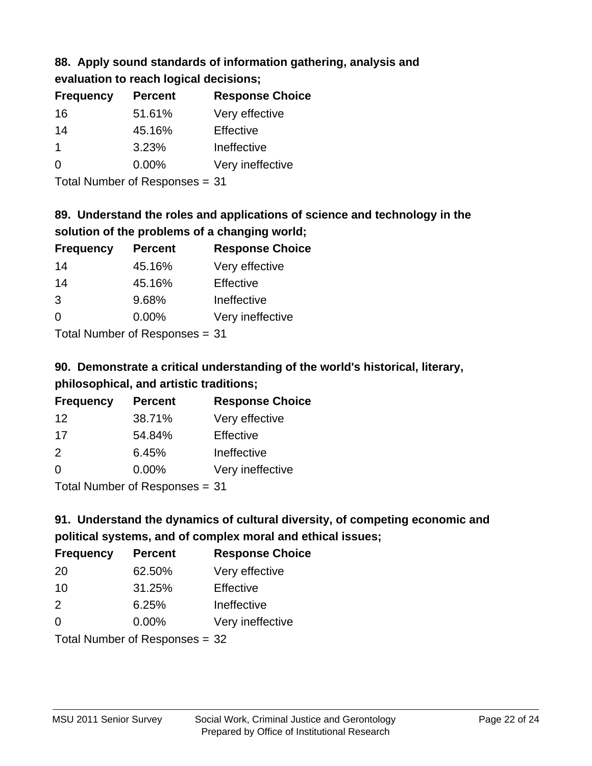# **88. Apply sound standards of information gathering, analysis and**

| evaluation to reach logical decisions; |  |
|----------------------------------------|--|
|----------------------------------------|--|

| <b>Percent</b> | <b>Response Choice</b> |
|----------------|------------------------|
| 51.61%         | Very effective         |
| 45.16%         | Effective              |
| 3.23%          | Ineffective            |
| $0.00\%$       | Very ineffective       |
|                |                        |

Total Number of Responses = 31

# **89. Understand the roles and applications of science and technology in the solution of the problems of a changing world;**

| <b>Frequency</b> | <b>Percent</b> | <b>Response Choice</b> |
|------------------|----------------|------------------------|
| 14               | 45.16%         | Very effective         |
| 14               | 45.16%         | Effective              |
| 3                | 9.68%          | Ineffective            |
| $\Omega$         | 0.00%          | Very ineffective       |
|                  |                |                        |

Total Number of Responses = 31

# **90. Demonstrate a critical understanding of the world's historical, literary, philosophical, and artistic traditions;**

| <b>Frequency</b> | <b>Percent</b> | <b>Response Choice</b> |
|------------------|----------------|------------------------|
| 12               | 38.71%         | Very effective         |
| 17               | 54.84%         | Effective              |
| $\mathcal{P}$    | 6.45%          | Ineffective            |
| $\Omega$         | 0.00%          | Very ineffective       |
|                  |                |                        |

Total Number of Responses = 31

# **91. Understand the dynamics of cultural diversity, of competing economic and political systems, and of complex moral and ethical issues;**

| <b>Frequency</b> | <b>Percent</b>                 | <b>Response Choice</b> |
|------------------|--------------------------------|------------------------|
| 20               | 62.50%                         | Very effective         |
| 10               | 31.25%                         | Effective              |
| $\mathcal{P}$    | 6.25%                          | Ineffective            |
| $\Omega$         | 0.00%                          | Very ineffective       |
|                  | Total Number of Responses = 32 |                        |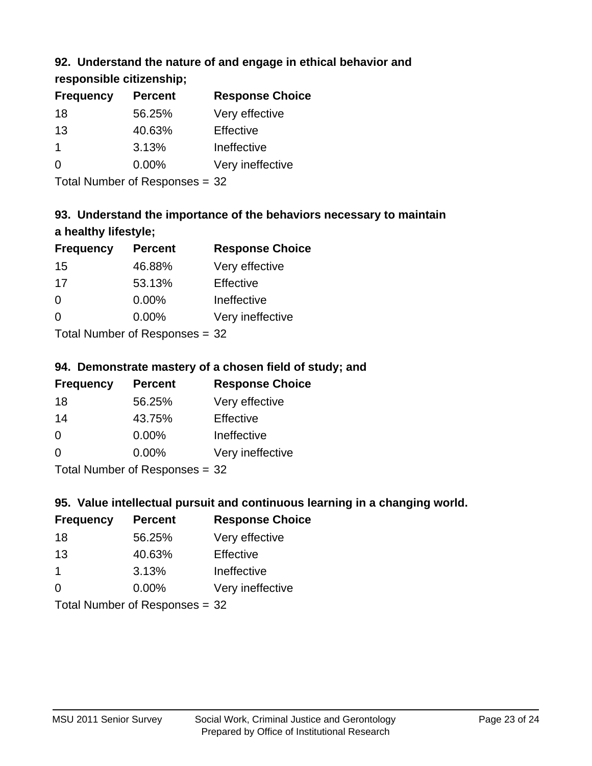### **92. Understand the nature of and engage in ethical behavior and**

**responsible citizenship;**

| <b>Frequency</b> | <b>Percent</b> | <b>Response Choice</b> |
|------------------|----------------|------------------------|
| 18               | 56.25%         | Very effective         |
| 13               | 40.63%         | Effective              |
|                  | 3.13%          | Ineffective            |
| $\Omega$         | 0.00%          | Very ineffective       |
|                  |                |                        |

Total Number of Responses = 32

# **93. Understand the importance of the behaviors necessary to maintain a healthy lifestyle;**

| <b>Frequency</b>                                                 | <b>Percent</b> | <b>Response Choice</b> |
|------------------------------------------------------------------|----------------|------------------------|
| 15                                                               | 46.88%         | Very effective         |
| 17                                                               | 53.13%         | Effective              |
| $\Omega$                                                         | $0.00\%$       | Ineffective            |
| $\Omega$                                                         | 0.00%          | Very ineffective       |
| $\tau$ . $\tau$ . In the set of $\mathbb{R}$ . The set of $\tau$ |                |                        |

Total Number of Responses = 32

#### **94. Demonstrate mastery of a chosen field of study; and**

| <b>Frequency</b> | <b>Percent</b> | <b>Response Choice</b> |
|------------------|----------------|------------------------|
| 18               | 56.25%         | Very effective         |
| 14               | 43.75%         | Effective              |
| $\Omega$         | 0.00%          | Ineffective            |
| $\Omega$         | $0.00\%$       | Very ineffective       |
|                  |                |                        |

Total Number of Responses = 32

#### **95. Value intellectual pursuit and continuous learning in a changing world.**

| <b>Frequency</b> | <b>Percent</b> | <b>Response Choice</b> |
|------------------|----------------|------------------------|
| 18               | 56.25%         | Very effective         |
| 13               | 40.63%         | Effective              |
| $\mathbf 1$      | 3.13%          | Ineffective            |
| $\Omega$         | 0.00%          | Very ineffective       |
|                  |                |                        |